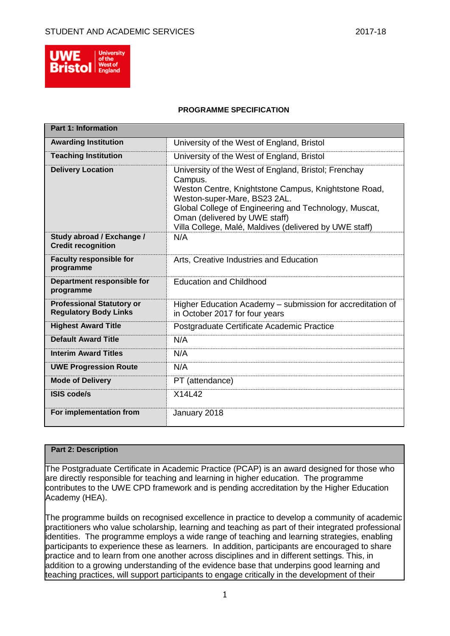

### **PROGRAMME SPECIFICATION**

| <b>Part 1: Information</b>                                       |                                                                                                                                                                                                                                                                                                             |
|------------------------------------------------------------------|-------------------------------------------------------------------------------------------------------------------------------------------------------------------------------------------------------------------------------------------------------------------------------------------------------------|
| <b>Awarding Institution</b>                                      | University of the West of England, Bristol                                                                                                                                                                                                                                                                  |
| <b>Teaching Institution</b>                                      | University of the West of England, Bristol                                                                                                                                                                                                                                                                  |
| <b>Delivery Location</b>                                         | University of the West of England, Bristol; Frenchay<br>Campus.<br>Weston Centre, Knightstone Campus, Knightstone Road,<br>Weston-super-Mare, BS23 2AL.<br>Global College of Engineering and Technology, Muscat,<br>Oman (delivered by UWE staff)<br>Villa College, Malé, Maldives (delivered by UWE staff) |
| Study abroad / Exchange /<br><b>Credit recognition</b>           | N/A                                                                                                                                                                                                                                                                                                         |
| <b>Faculty responsible for</b><br>programme                      | Arts, Creative Industries and Education                                                                                                                                                                                                                                                                     |
| Department responsible for<br>programme                          | <b>Education and Childhood</b>                                                                                                                                                                                                                                                                              |
| <b>Professional Statutory or</b><br><b>Regulatory Body Links</b> | Higher Education Academy - submission for accreditation of<br>in October 2017 for four years                                                                                                                                                                                                                |
| <b>Highest Award Title</b>                                       | Postgraduate Certificate Academic Practice                                                                                                                                                                                                                                                                  |
| <b>Default Award Title</b>                                       | N/A                                                                                                                                                                                                                                                                                                         |
| <b>Interim Award Titles</b>                                      | N/A                                                                                                                                                                                                                                                                                                         |
| <b>UWE Progression Route</b>                                     | N/A                                                                                                                                                                                                                                                                                                         |
| <b>Mode of Delivery</b>                                          | PT (attendance)                                                                                                                                                                                                                                                                                             |
| <b>ISIS code/s</b>                                               | X14L42                                                                                                                                                                                                                                                                                                      |
| For implementation from                                          | January 2018                                                                                                                                                                                                                                                                                                |

# **Part 2: Description**

The Postgraduate Certificate in Academic Practice (PCAP) is an award designed for those who are directly responsible for teaching and learning in higher education. The programme contributes to the UWE CPD framework and is pending accreditation by the Higher Education Academy (HEA).

The programme builds on recognised excellence in practice to develop a community of academic practitioners who value scholarship, learning and teaching as part of their integrated professional identities. The programme employs a wide range of teaching and learning strategies, enabling participants to experience these as learners. In addition, participants are encouraged to share practice and to learn from one another across disciplines and in different settings. This, in addition to a growing understanding of the evidence base that underpins good learning and teaching practices, will support participants to engage critically in the development of their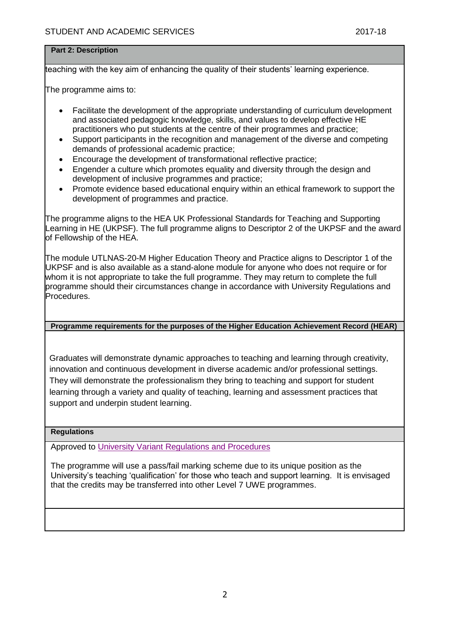# **Part 2: Description**

teaching with the key aim of enhancing the quality of their students' learning experience.

The programme aims to:

- Facilitate the development of the appropriate understanding of curriculum development and associated pedagogic knowledge, skills, and values to develop effective HE practitioners who put students at the centre of their programmes and practice;
- Support participants in the recognition and management of the diverse and competing demands of professional academic practice;
- Encourage the development of transformational reflective practice;
- Engender a culture which promotes equality and diversity through the design and development of inclusive programmes and practice;
- Promote evidence based educational enquiry within an ethical framework to support the development of programmes and practice.

The programme aligns to the HEA UK Professional Standards for Teaching and Supporting Learning in HE (UKPSF). The full programme aligns to Descriptor 2 of the UKPSF and the award of Fellowship of the HEA.

The module UTLNAS-20-M Higher Education Theory and Practice aligns to Descriptor 1 of the UKPSF and is also available as a stand-alone module for anyone who does not require or for whom it is not appropriate to take the full programme. They may return to complete the full programme should their circumstances change in accordance with University Regulations and Procedures.

# **Programme requirements for the purposes of the Higher Education Achievement Record (HEAR)**

Graduates will demonstrate dynamic approaches to teaching and learning through creativity, innovation and continuous development in diverse academic and/or professional settings. They will demonstrate the professionalism they bring to teaching and support for student learning through a variety and quality of teaching, learning and assessment practices that support and underpin student learning.

### **Regulations**

Approved to [University Variant Regulations and Procedures](http://www1.uwe.ac.uk/students/academicadvice/assessments/regulationsandprocedures.aspx)

The programme will use a pass/fail marking scheme due to its unique position as the University's teaching 'qualification' for those who teach and support learning. It is envisaged that the credits may be transferred into other Level 7 UWE programmes.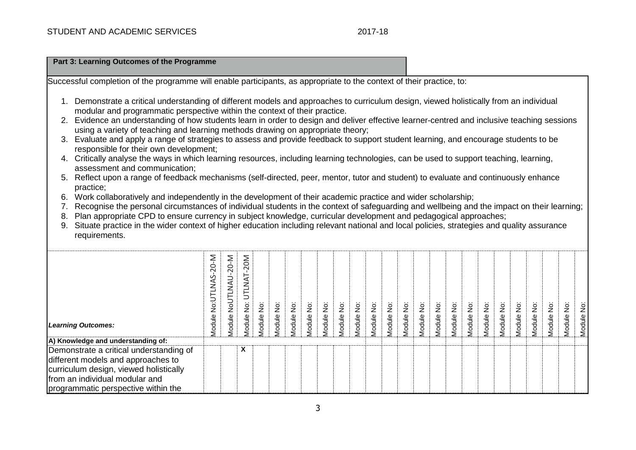| Part 3: Learning Outcomes of the Programme                                                                                                                                                                                                                            |                       |                      |                    |          |            |            |            |            |            |            |            |            |            |            |            |            |            |            |            |            |            |            |            |            |
|-----------------------------------------------------------------------------------------------------------------------------------------------------------------------------------------------------------------------------------------------------------------------|-----------------------|----------------------|--------------------|----------|------------|------------|------------|------------|------------|------------|------------|------------|------------|------------|------------|------------|------------|------------|------------|------------|------------|------------|------------|------------|
| Successful completion of the programme will enable participants, as appropriate to the context of their practice, to:                                                                                                                                                 |                       |                      |                    |          |            |            |            |            |            |            |            |            |            |            |            |            |            |            |            |            |            |            |            |            |
| 1. Demonstrate a critical understanding of different models and approaches to curriculum design, viewed holistically from an individual<br>modular and programmatic perspective within the context of their practice.                                                 |                       |                      |                    |          |            |            |            |            |            |            |            |            |            |            |            |            |            |            |            |            |            |            |            |            |
| 2. Evidence an understanding of how students learn in order to design and deliver effective learner-centred and inclusive teaching sessions<br>using a variety of teaching and learning methods drawing on appropriate theory;                                        |                       |                      |                    |          |            |            |            |            |            |            |            |            |            |            |            |            |            |            |            |            |            |            |            |            |
| Evaluate and apply a range of strategies to assess and provide feedback to support student learning, and encourage students to be<br>responsible for their own development;                                                                                           |                       |                      |                    |          |            |            |            |            |            |            |            |            |            |            |            |            |            |            |            |            |            |            |            |            |
| 4. Critically analyse the ways in which learning resources, including learning technologies, can be used to support teaching, learning,<br>assessment and communication;                                                                                              |                       |                      |                    |          |            |            |            |            |            |            |            |            |            |            |            |            |            |            |            |            |            |            |            |            |
| Reflect upon a range of feedback mechanisms (self-directed, peer, mentor, tutor and student) to evaluate and continuously enhance<br>5.<br>practice;                                                                                                                  |                       |                      |                    |          |            |            |            |            |            |            |            |            |            |            |            |            |            |            |            |            |            |            |            |            |
| Work collaboratively and independently in the development of their academic practice and wider scholarship;<br>6.<br>Recognise the personal circumstances of individual students in the context of safeguarding and wellbeing and the impact on their learning;<br>7. |                       |                      |                    |          |            |            |            |            |            |            |            |            |            |            |            |            |            |            |            |            |            |            |            |            |
| Plan appropriate CPD to ensure currency in subject knowledge, curricular development and pedagogical approaches;<br>8.                                                                                                                                                |                       |                      |                    |          |            |            |            |            |            |            |            |            |            |            |            |            |            |            |            |            |            |            |            |            |
| Situate practice in the wider context of higher education including relevant national and local policies, strategies and quality assurance<br>9.<br>requirements.                                                                                                     |                       |                      |                    |          |            |            |            |            |            |            |            |            |            |            |            |            |            |            |            |            |            |            |            |            |
|                                                                                                                                                                                                                                                                       |                       |                      | UTLNAT-20M         |          |            |            |            |            |            |            |            |            |            |            |            |            |            |            |            |            |            |            |            |            |
|                                                                                                                                                                                                                                                                       | Module No:UTLNAS-20-M | Module NoUTLNAU-20-M | $\dot{\mathsf{g}}$ | ë        |            |            |            |            |            |            |            |            |            |            |            |            |            |            |            |            |            |            |            |            |
| <b>Learning Outcomes:</b>                                                                                                                                                                                                                                             |                       |                      | Module I           | Module I | Module No: | Module No: | Module No: | Module No: | Module No: | Module No: | Module No: | Module No: | Module No: | Module No: | Module No: | Module No: | Module No: | Module No: | Module No: | Module No: | Module No: | Module No: | Module No: | Module No: |
| A) Knowledge and understanding of:                                                                                                                                                                                                                                    |                       |                      |                    |          |            |            |            |            |            |            |            |            |            |            |            |            |            |            |            |            |            |            |            |            |
| Demonstrate a critical understanding of                                                                                                                                                                                                                               |                       |                      | X                  |          |            |            |            |            |            |            |            |            |            |            |            |            |            |            |            |            |            |            |            |            |
| different models and approaches to                                                                                                                                                                                                                                    |                       |                      |                    |          |            |            |            |            |            |            |            |            |            |            |            |            |            |            |            |            |            |            |            |            |
| curriculum design, viewed holistically                                                                                                                                                                                                                                |                       |                      |                    |          |            |            |            |            |            |            |            |            |            |            |            |            |            |            |            |            |            |            |            |            |
| from an individual modular and                                                                                                                                                                                                                                        |                       |                      |                    |          |            |            |            |            |            |            |            |            |            |            |            |            |            |            |            |            |            |            |            |            |
| programmatic perspective within the                                                                                                                                                                                                                                   |                       |                      |                    |          |            |            |            |            |            |            |            |            |            |            |            |            |            |            |            |            |            |            |            |            |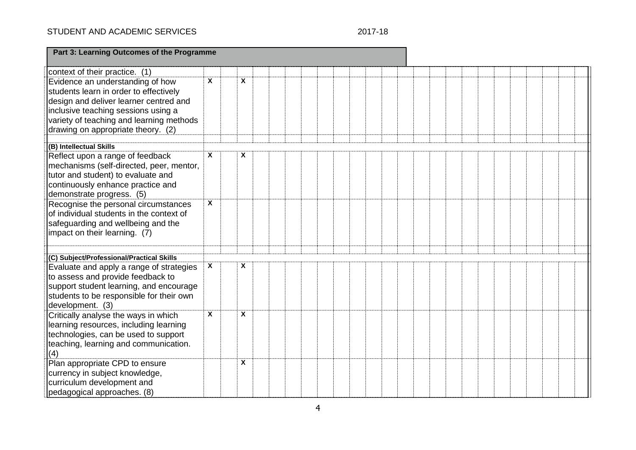# STUDENT AND ACADEMIC SERVICES

# 2017-18

| Part 3: Learning Outcomes of the Programme                                                                                                                                                                                                    |   |                         |  |  |  |  |  |  |  |  |
|-----------------------------------------------------------------------------------------------------------------------------------------------------------------------------------------------------------------------------------------------|---|-------------------------|--|--|--|--|--|--|--|--|
| context of their practice. (1)                                                                                                                                                                                                                |   |                         |  |  |  |  |  |  |  |  |
| Evidence an understanding of how<br>students learn in order to effectively<br>design and deliver learner centred and<br>inclusive teaching sessions using a<br>variety of teaching and learning methods<br>drawing on appropriate theory. (2) | X | $\overline{\mathbf{x}}$ |  |  |  |  |  |  |  |  |
| (B) Intellectual Skills                                                                                                                                                                                                                       |   |                         |  |  |  |  |  |  |  |  |
| Reflect upon a range of feedback<br>mechanisms (self-directed, peer, mentor,<br>tutor and student) to evaluate and<br>continuously enhance practice and<br>demonstrate progress. (5)                                                          | X | X                       |  |  |  |  |  |  |  |  |
| Recognise the personal circumstances<br>of individual students in the context of<br>safeguarding and wellbeing and the<br>impact on their learning. (7)                                                                                       | X |                         |  |  |  |  |  |  |  |  |
| (C) Subject/Professional/Practical Skills                                                                                                                                                                                                     |   |                         |  |  |  |  |  |  |  |  |
| Evaluate and apply a range of strategies<br>to assess and provide feedback to<br>support student learning, and encourage<br>students to be responsible for their own<br>development. (3)                                                      | X | X                       |  |  |  |  |  |  |  |  |
| Critically analyse the ways in which<br>learning resources, including learning<br>technologies, can be used to support<br>teaching, learning and communication.<br>(4)                                                                        | X | X                       |  |  |  |  |  |  |  |  |
| Plan appropriate CPD to ensure<br>currency in subject knowledge,<br>curriculum development and<br>pedagogical approaches. (8)                                                                                                                 |   | X                       |  |  |  |  |  |  |  |  |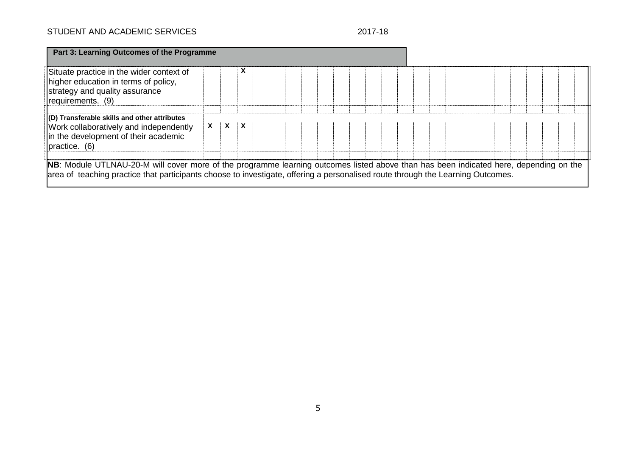# STUDENT AND ACADEMIC SERVICES 2017-18

| Situate practice in the wider context of<br>higher education in terms of policy,<br>strategy and quality assurance<br>requirements. (9) |   |              |                           |  |  |  |  |  |  |  |  |  |  |
|-----------------------------------------------------------------------------------------------------------------------------------------|---|--------------|---------------------------|--|--|--|--|--|--|--|--|--|--|
| (D) Transferable skills and other attributes                                                                                            |   |              |                           |  |  |  |  |  |  |  |  |  |  |
| Work collaboratively and independently<br>in the development of their academic<br>practice. (6)                                         | X | $\mathbf{x}$ | $\boldsymbol{\mathsf{x}}$ |  |  |  |  |  |  |  |  |  |  |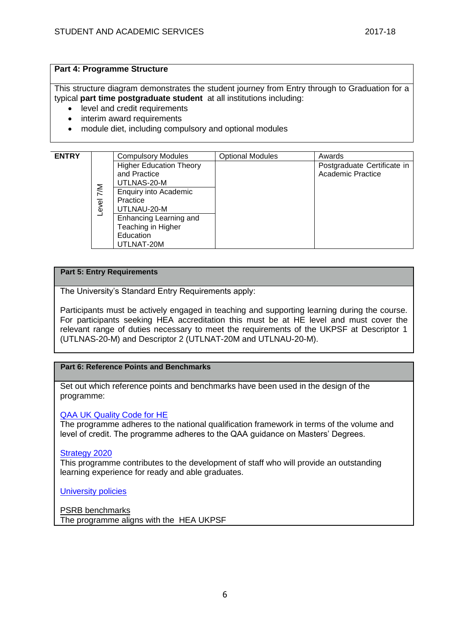### **Part 4: Programme Structure**

This structure diagram demonstrates the student journey from Entry through to Graduation for a typical **part time postgraduate student** at all institutions including:

- level and credit requirements
- interim award requirements
- module diet, including compulsory and optional modules

| <b>ENTRY</b> |                        | <b>Compulsory Modules</b>                                                      | <b>Optional Modules</b> | Awards                                           |
|--------------|------------------------|--------------------------------------------------------------------------------|-------------------------|--------------------------------------------------|
|              |                        | <b>Higher Education Theory</b><br>and Practice<br>UTLNAS-20-M                  |                         | Postgraduate Certificate in<br>Academic Practice |
|              | $\frac{2}{1}$<br>Level | <b>Enquiry into Academic</b><br>Practice<br>UTLNAU-20-M                        |                         |                                                  |
|              |                        | Enhancing Learning and<br>Teaching in Higher<br><b>Education</b><br>UTLNAT-20M |                         |                                                  |

### **Part 5: Entry Requirements**

The University's Standard Entry Requirements apply:

Participants must be actively engaged in teaching and supporting learning during the course. For participants seeking HEA accreditation this must be at HE level and must cover the relevant range of duties necessary to meet the requirements of the UKPSF at Descriptor 1 (UTLNAS-20-M) and Descriptor 2 (UTLNAT-20M and UTLNAU-20-M).

# **Part 6: Reference Points and Benchmarks**

Set out which reference points and benchmarks have been used in the design of the programme:

### [QAA UK Quality Code for HE](http://www.qaa.ac.uk/assuringstandardsandquality/quality-code/Pages/default.aspx)

The programme adheres to the national qualification framework in terms of the volume and level of credit. The programme adheres to the QAA guidance on Masters' Degrees.

### [Strategy 2020](http://www1.uwe.ac.uk/about/corporateinformation/strategy.aspx)

This programme contributes to the development of staff who will provide an outstanding learning experience for ready and able graduates.

[University](http://www1.uwe.ac.uk/aboutus/policies) policies

PSRB benchmarks The programme aligns with the HEA UKPSF